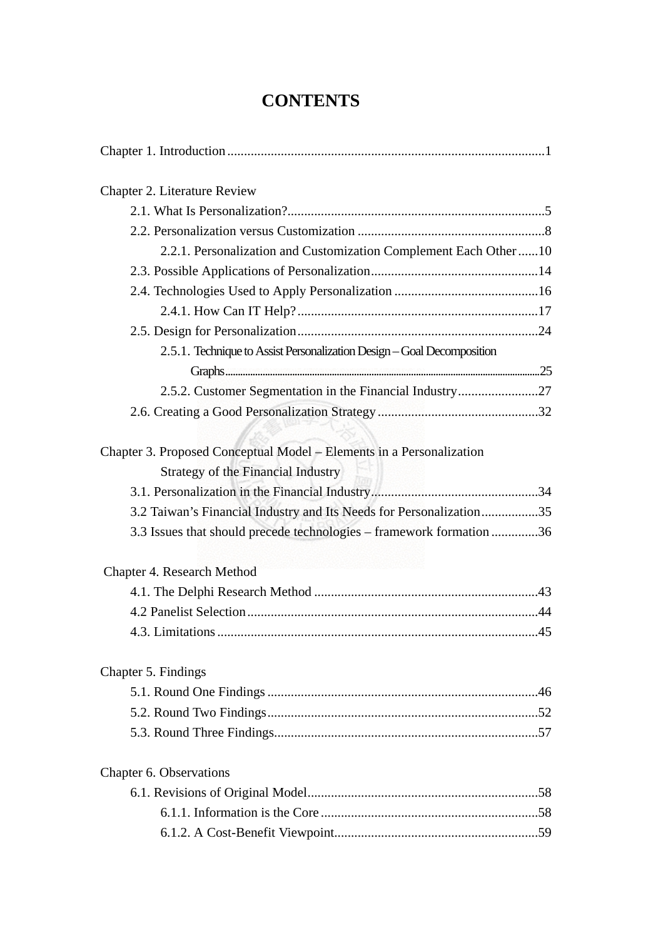## **CONTENTS**

| Chapter 2. Literature Review                                                                                      |
|-------------------------------------------------------------------------------------------------------------------|
|                                                                                                                   |
|                                                                                                                   |
| 2.2.1. Personalization and Customization Complement Each Other10                                                  |
|                                                                                                                   |
|                                                                                                                   |
|                                                                                                                   |
|                                                                                                                   |
| 2.5.1. Technique to Assist Personalization Design - Goal Decomposition                                            |
|                                                                                                                   |
|                                                                                                                   |
|                                                                                                                   |
| Chapter 3. Proposed Conceptual Model - Elements in a Personalization<br><b>Strategy of the Financial Industry</b> |
|                                                                                                                   |
| 3.2 Taiwan's Financial Industry and Its Needs for Personalization35                                               |
| 3.3 Issues that should precede technologies – framework formation 36                                              |
| Chapter 4. Research Method                                                                                        |
|                                                                                                                   |
|                                                                                                                   |
|                                                                                                                   |
| Chapter 5. Findings                                                                                               |
|                                                                                                                   |
|                                                                                                                   |
|                                                                                                                   |
| Chapter 6. Observations                                                                                           |
|                                                                                                                   |
|                                                                                                                   |
|                                                                                                                   |